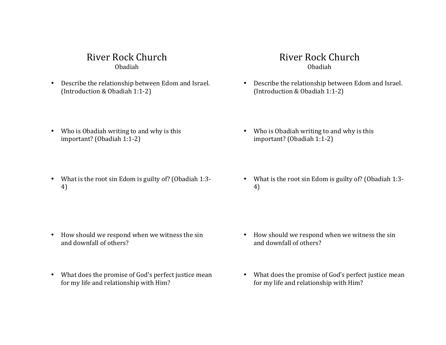# River Rock Church Obadiah

• Describe the relationship between Edom and Israel. (Introduction & Obadiah 1:1-2)

# River Rock Church Obadiah

• Describe the relationship between Edom and Israel. (Introduction & Obadiah 1:1-2)

• Who is Obadiah writing to and why is this

important? (Obadiah 1:1-2)

- Who is Obadiah writing to and why is this  $important?$  (Obadiah  $1:1-2$ )
- What is the root sin Edom is guilty of? (Obadiah 1:3-4)

- How should we respond when we witness the sin and downfall of others?
- What does the promise of God's perfect justice mean for my life and relationship with Him?

• What is the root sin Edom is guilty of? (Obadiah  $1:3$ -4)

- How should we respond when we witness the sin and downfall of others?
- What does the promise of God's perfect justice mean for my life and relationship with Him?